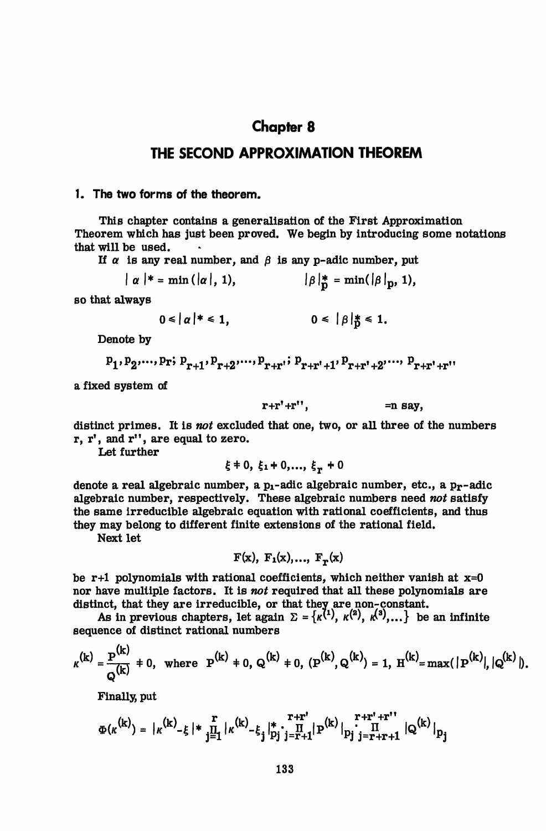# **Chapter 8**

# **THE SECOND APPROXIMATION THEOREM**

### **1. The two forms of the theorem.**

This chapter contains a generalisation of the First Approximation Theorem which has just been proved. We begin by introducing some notations that will be used.

If  $\alpha$  is any real number, and  $\beta$  is any p-adic number, put

$$
|\alpha|
$$
 \* = min ( $|\alpha|$ , 1),  $|\beta|$  \* = min( $|\beta|$ <sub>p</sub>, 1),

so that always

$$
0 \leq |\alpha|^{*} \leq 1, \qquad 0 \leq |\beta|^{*}_{0} \leq 1.
$$

Denote by

$$
p_1, p_2, \ldots, p_r; p_{r+1}, p_{r+2}, \ldots, p_{r+r}; p_{r+r'+1}, p_{r+r'+2}, \ldots, p_{r+r'+r''}
$$

a fixed system of

$$
r+r'+r''
$$
, =n say,

distinct primes. It is *not* excluded that one, two, or all three of the numbers  $r, r',$  and  $r''$ , are equal to zero.

Let further

$$
\xi
$$
  $\neq$  0,  $\xi$ <sub>1</sub>  $\neq$  0,...,  $\xi$ <sub>r</sub>  $\neq$  0

denote a real algebraic number, a  $p_1$ -adic algebraic number, etc., a  $p_T$ -adic algebraic number, respectively. These algebraic numbers need *not* satisfy the same irreducible algebraic equation with rational coefficients, and thus they may belong to different finite extensions of the rational field.

Next let

 $F(x)$ ,  $F_1(x)$ ,...,  $F_r(x)$ 

be r+1 polynomials with rational coefficients, which neither vanish at  $x=0$ nor have multiple factors. It is *not* required that all these polynomials are distinct, that they are irreducible, or that they are non-constant.

As in previous chapters, let again  $\Sigma = \{\kappa^{(1)}, \kappa^{(2)}, \kappa^{(3)},...\}$  be an infinite sequence of distinct rational numbers

$$
\kappa^{(k)} = \frac{p^{(k)}}{Q^{(k)}} + 0, \text{ where } P^{(k)} + 0, Q^{(k)} + 0, (P^{(k)}, Q^{(k)}) = 1, H^{(k)} = \max(|P^{(k)}|, |Q^{(k)}|).
$$

Finally, put

$$
\Phi(\kappa^{(k)}) = |\kappa^{(k)} - \xi| * \prod_{j=1}^{r} |\kappa^{(k)} - \xi_j|_{p_j}^* \cdot \prod_{j=r+1}^{r+r} |P^{(k)}|_{p_j} \cdot \prod_{j=r+r+1}^{r+r'+r''} |Q^{(k)}|_{p_j}
$$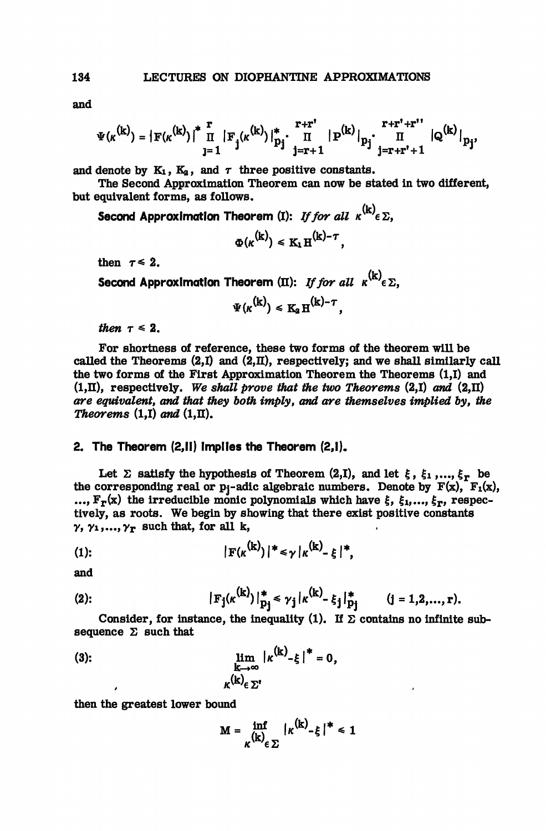and

$$
\Psi(\kappa^{(k)}) = |F(\kappa^{(k)})|^* \prod_{j=1}^r |F_j(\kappa^{(k)})|_{p_j}^* \cdot \prod_{j=r+1}^{r+r'} |P^{(k)}|_{p_j} \cdot \prod_{j=r+r'+1}^{r+r'+r''} |Q^{(k)}|_{p_j},
$$

and denote by  $K_1$ ,  $K_2$ , and  $\tau$  three positive constants.

The Second Approximation Theorem can now be stated in two different, but equivalent forms, as follows.

Second Approximation Theorem (I): If for all  $\kappa^{(k)} \in \Sigma$ .

$$
\Phi(\kappa^{(k)}) \leq K_1 H^{(k)-\tau},
$$

then  $\tau \leq 2$ .

Second Approximation Theorem (II): *If for all*  $\kappa^{(k)}\epsilon$   $\Sigma$ .

$$
\Psi(\kappa^{(k)}) \leq K_2 \, H^{(k)-\tau},
$$

then  $\tau \leq 2$ .

For shortness of reference, these two forms of the theorem will be called the Theorems  $(2,I)$  and  $(2,\Pi)$ , respectively; and we shall similarly call the two forms of the First Approximation Theorem the Theorems (1,1) and  $(1,\Pi)$ , respectively. We shall prove that the two Theorems  $(2,I)$  and  $(2,\Pi)$ *are equivalent, and that they both imply, and are themselves implied by, the Theorems*  $(1,I)$  *and*  $(1,II)$ .

#### **2. The Theorem** (2,11) **implies the Theorem** (2,1).

Let  $\Sigma$  satisfy the hypothesis of Theorem  $(2,1)$ , and let  $\xi$ ,  $\xi_1$ ,...,  $\xi_T$  be the corresponding real or  $p_i$ -adic algebraic numbers. Denote by  $F(x)$ ,  $F_1(x)$ , ...,  $F_r(x)$  the irreducible monic polynomials which have  $\xi$ ,  $\xi_1,...,\xi_r$ , respectively, as roots. We begin by showing that there exist positive constants  $\gamma$ ,  $\gamma_1,...,\gamma_r$  such that, for all k,

$$
|\mathbf{F}(\kappa^{(k)})|^* \leq \gamma |\kappa^{(k)}_{-\xi}|^*,
$$

and

(2): 
$$
|\mathbf{F}_j(\kappa^{(k)})|_{\mathbf{p}_j}^* \leq \gamma_j |\kappa^{(k)} - \xi_j|_{\mathbf{p}_j}^* \qquad (j = 1, 2, ..., r).
$$

Consider, for instance, the inequality (1). If  $\Sigma$  contains no infinite subsequence  $\Sigma$  such that

(3): 
$$
\lim_{\substack{k \to \infty \\ k(\mathbf{k})_{\in \Sigma^{1}}}} |\kappa^{(k)}_{-\xi}|^* = 0,
$$

then the greatest lower bound

$$
M = \inf_{K(k) \in \Sigma} |\kappa^{(k)} - \xi|^* \leq 1
$$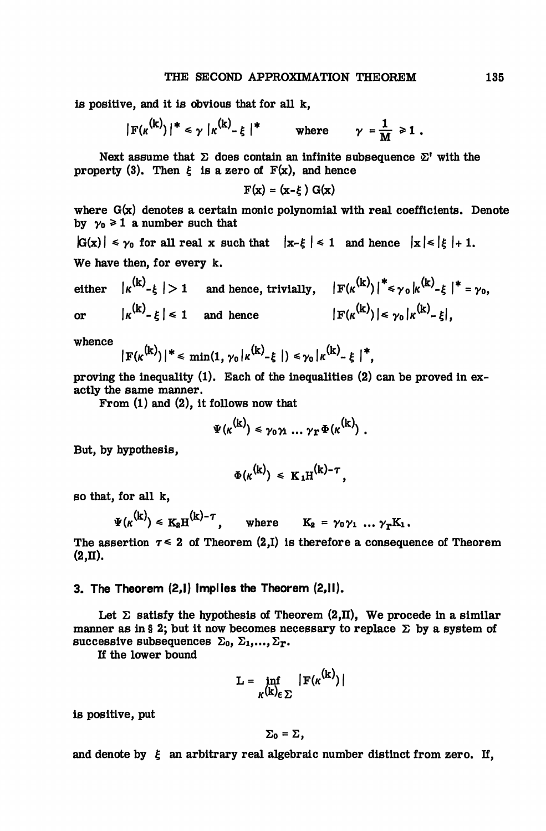is positive, and it is obvious that for all k,

$$
|\mathbf{F}(\kappa^{(k)})|^* \leq \gamma |\kappa^{(k)} - \xi|^*
$$
 where  $\gamma = \frac{1}{M} \geq 1$ .

Next assume that  $\Sigma$  does contain an infinite subsequence  $\Sigma'$  with the property (3). Then  $\xi$  is a zero of  $F(x)$ , and hence

$$
F(x) = (x-\xi) G(x)
$$

where G(x) denotes a certain monic polynomial with real coefficients. Denote by  $\gamma_0 \geq 1$  a number such that

 $|G(x)| \leq \gamma_0$  for all real x such that  $|x-\xi| \leq 1$  and hence  $|x| \leq |\xi| + 1$ . We have then, for every k.

either  $|\kappa^{(k)}_{-k}| > 1$  and hence, trivially,  $|F(\kappa^{(k)})|^{*} \leq \gamma_0 |\kappa^{(k)}_{-k}|^{*} = \gamma_0$ . or  $|\kappa^{(k)} - \xi| \le 1$  and hence  $|\mathbf{F}(\kappa^{(k)})| \le \gamma_0 |\kappa^{(k)} - \xi|$ .

whence

$$
|F(\kappa^{(k)})|^* \leq \min(1, \gamma_0 |\kappa^{(k)}-\xi|) \leq \gamma_0 |\kappa^{(k)}-\xi|^*,
$$

proving the inequality (1). Each of the inequalities (2) can be proved in exactly the same manner.

From (1) and (2), it follows now that

$$
\Psi(\kappa^{(k)}) \leq \gamma_0 \gamma_1 \ldots \gamma_T \Phi(\kappa^{(k)}) .
$$

But, by hypothesis,

$$
\Phi(\kappa^{(k)}) \leq K_1 H^{(k)-\tau},
$$

so that, for all k,

$$
\Psi(\kappa^{(k)}) \leq K_2 H^{(k)-\tau}, \quad \text{where} \quad K_2 = \gamma_0 \gamma_1 \dots \gamma_T K_1.
$$

The assertion  $\tau \leq 2$  of Theorem (2,I) is therefore a consequence of Theorem (2,II).

## **3. The Theorem** (2,1) **implies the Theorem** (2,11).

Let  $\Sigma$  satisfy the hypothesis of Theorem (2,II), We procede in a similar manner as in § 2; but it now becomes necessary to replace  $\Sigma$  by a system of successive subsequences  $\Sigma_0$ ,  $\Sigma_1$ ,...,  $\Sigma_r$ .

If the lower bound

$$
L = \inf_{K(k) \in \Sigma} |F(\kappa^{(k)})|
$$

 $\sim$ 

is positive, put

$$
\Sigma_0=\Sigma,
$$

and denote by  $\epsilon$  an arbitrary real algebraic number distinct from zero. If,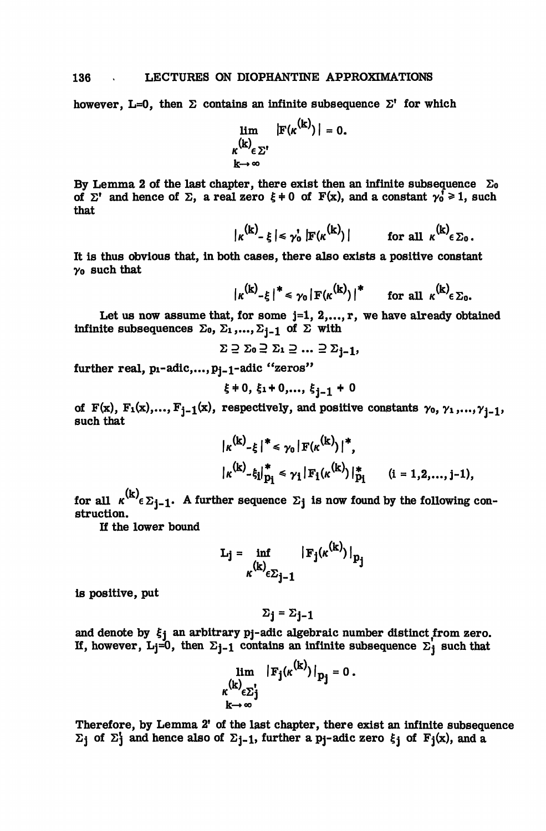however, L=0, then  $\Sigma$  contains an infinite subsequence  $\Sigma'$  for which

$$
\lim_{\substack{\kappa^{(k)} \in \Sigma' \\ k \to \infty}} |F(\kappa^{(k)})| = 0.
$$

By Lemma 2 of the last chapter, there exist then an infinite subsequence  $\Sigma_0$ of  $\Sigma^*$  and hence of  $\Sigma$ , a real zero  $\xi \neq 0$  of  $F(x)$ , and a constant  $\gamma_0^{\dagger} \geq 1$ , such that

 $|\kappa^{(k)}\text{-}\xi| \leq \gamma_0^{\prime} |\mathbf{F}(\kappa^{(k)})|$  for all  $\kappa^{(k)} \in \Sigma_0$ .

It is thus obvious that, in both cases, there also exists a positive constant yo such that

$$
|\kappa^{(k)}-\xi|^{*} \leq \gamma_0 |F(\kappa^{(k)})|^{*}
$$
 for all  $\kappa^{(k)}\in \Sigma_0$ .

Let us now assume that, for some  $j=1, 2,...,r$ , we have already obtained infinite subsequences  $\Sigma_0$ ,  $\Sigma_1$ ,...,  $\Sigma_{j-1}$  of  $\Sigma$  with

$$
\Sigma \supseteq \Sigma_0 \supseteq \Sigma_1 \supseteq \ldots \supseteq \Sigma_{j-1},
$$

further real,  $p_1$ -adic,..., $p_{i-1}$ -adic "zeros"

$$
\xi \neq 0, \xi_1 + 0, \ldots, \xi_{j-1} + 0
$$

of  $F(x)$ ,  $F_1(x),..., F_{j-1}(x)$ , respectively, and positive constants  $\gamma_0, \gamma_1,...,\gamma_{j-1}$ , such that

$$
|\kappa^{(k)}_{-\xi}|^* \leq \gamma_0 |\mathbf{F}(\kappa^{(k)})|^*,
$$
  

$$
|\kappa^{(k)}_{-\xi_1}|^*_{\mathbf{p}_1} \leq \gamma_1 |\mathbf{F}_1(\kappa^{(k)})|_{\mathbf{p}_1}^* \qquad (i = 1, 2, ..., j-1),
$$

 $\overline{a}$ 

for all  $\kappa^{(k)} \epsilon \sum_{i=1}$ . A further sequence  $\Sigma_j$  is now found by the following construction.

If the lower bound

$$
\mathbf{L}_{j} = \inf_{\kappa(\mathbf{k}) \in \Sigma_{j-1}} |\mathbf{F}_{j}(\kappa^{(k)})|_{p_{j}}
$$

is positive, put

$$
\Sigma_{\mathbf{j}} = \Sigma_{\mathbf{j}-\mathbf{1}}
$$

and denote by  $\xi_1$  an arbitrary pj-adic algebraic number distinct from zero. If, however, L<sub>j</sub>=0, then  $\Sigma_{j-1}$  contains an infinite subsequence  $\Sigma_j$  such that

$$
\lim_{\substack{\kappa^{(k)} \in \Sigma_j^{\mathbf{r}} \\ k \to \infty}} |F_j(\kappa^{(k)})|_{p_j} = 0.
$$

Therefore, by Lemma 2' of the last chapter, there exist an infinite subsequence  $\Sigma$ <sub>j</sub> of  $\Sigma$ <sup>1</sup> and hence also of  $\Sigma$ <sub>j-1</sub>, further a p<sub>j</sub>-adic zero  $\xi$ <sub>j</sub> of  $F_j(x)$ , and a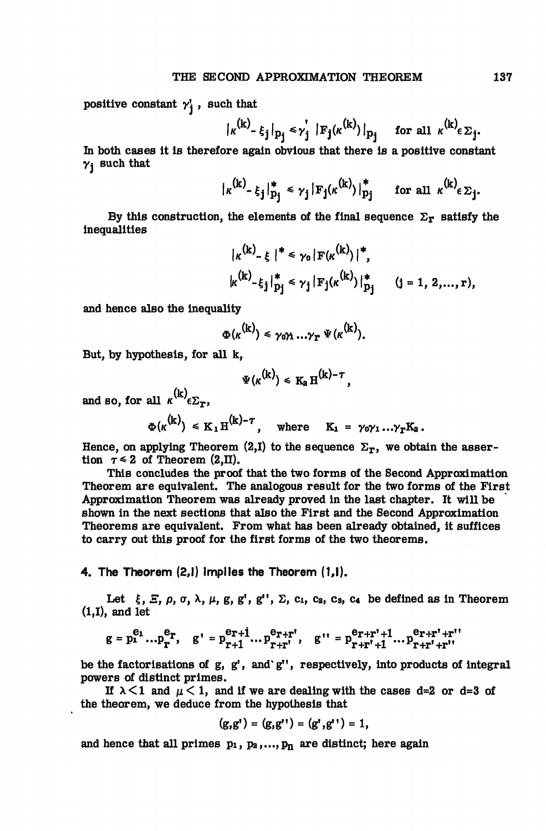positive constant  $\gamma^i$ , such that

$$
|\kappa^{(k)}\text{-}\xi_j|_{p_j}\leq \gamma_j^{'}|\text{F}_j(\kappa^{(k)})|_{p_j}\quad\text{ for all }\kappa^{(k)}\in\Sigma_j.
$$

In both cases it is therefore again obvious that there is a positive constant  $\gamma_i$  such that

$$
|\kappa^{(k)} - \xi_j|_{p_j}^* \leq \gamma_j |\mathbf{F}_j(\kappa^{(k)})|_{p_j}^* \quad \text{for all } \kappa^{(k)} \in \Sigma_j.
$$

By this construction, the elements of the final sequence  $\Sigma_{\mathbf{r}}$  satisfy the inequalities

$$
|\kappa^{(k)} - \xi|^{*} \leq \gamma_0 |\mathbf{F}(\kappa^{(k)})|^{*},
$$
  

$$
|\kappa^{(k)} - \xi_j|_{p_j}^{*} \leq \gamma_j |\mathbf{F}_j(\kappa^{(k)})|_{p_j}^{*} \qquad (j = 1, 2, ..., r),
$$

and hence also the inequality

$$
\Phi(\kappa^{(k)}) \leq \gamma_0 \gamma_1 \ldots \gamma_T \Psi(\kappa^{(k)}).
$$

But, by hypothesis, for all k,

$$
\Psi(\kappa^{(k)}) \leq K_2 H^{(k)-\tau},
$$

and so, for all  $\kappa^{N} \epsilon \Sigma_{\mathbf{r}}$ ,

 $\Phi(\kappa^{(k)}) \leq K_1 H^{(k)-\tau}$ , where  $K_1 = \gamma_0 \gamma_1 ... \gamma_T K_2$ .

Hence, on applying Theorem (2,I) to the sequence  $\Sigma_{\mathbf{r}}$ , we obtain the assertion  $\tau \leq 2$  of Theorem (2,II).

This concludes the proof that the two forms of the Second Approximation Theorem are equivalent. The analogous result for the two forms of the First Approximation Theorem was already proved in the last chapter. It will be shown in the next sections that also the First and the Second Approximation Theorems are equivalent. From what has been already obtained, it suffices to carry out this proof for the first forms of the two theorems.

4. The Theorem (2,1) implies the Theorem (1,1).

Let  $\xi$ ,  $\Xi$ ,  $\rho$ ,  $\sigma$ ,  $\lambda$ ,  $\mu$ ,  $g$ ,  $g'$ ,  $g''$ ,  $\Sigma$ ,  $c_1$ ,  $c_2$ ,  $c_3$ ,  $c_4$  be defined as in Theorem (1,1), and let

$$
g = p_1^{e_1} \dots p_r^{e_r}, \quad g' = p_{r+1}^{e_r+1} \dots p_{r+r}^{e_r+r}, \quad g'' = p_{r+r'+1}^{e_r+r'+1} \dots p_{r+r'+r''}^{e_r+r'+r''}
$$

be the factorisations of  $g$ ,  $g'$ , and' $g''$ , respectively, into products of integral powers of distinct primes.

If  $\lambda$ <1 and  $\mu$  < 1, and if we are dealing with the cases d=2 or d=3 of the theorem, we deduce from the hypothesis that

$$
(g,g') = (g,g'') = (g',g'') = 1,
$$

and hence that all primes  $p_1$ ,  $p_2$ ,...,  $p_n$  are distinct; here again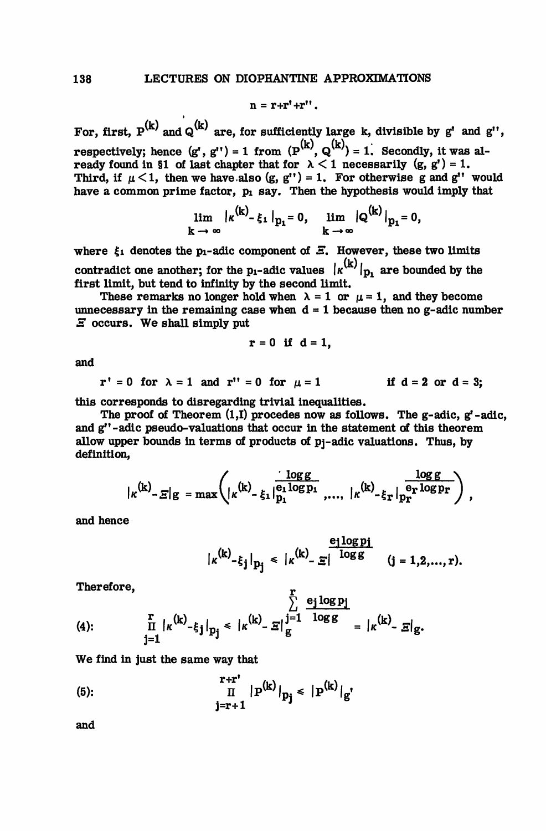$$
n = r + r' + r''.
$$

For, first,  $P^{(k)}$  and  $Q^{(k)}$  are, for sufficiently large k, divisible by g' and g'', respectively; hence  $(g^r, g^{r}) = 1$  from  $(P^{(K)}, Q^{(K)}) = 1$ . Secondly, it was already found in §1 of last chapter that for  $\lambda < 1$  necessarily  $(g, g') = 1$ . Third, if  $\mu < 1$ , then we have also (g, g'') = 1. For otherwise g and g'' would have a common prime factor,  $p_1$  say. Then the hypothesis would imply that

$$
\lim_{k \to \infty} |k^{(k)} - \xi_1|_{p_1} = 0, \quad \lim_{k \to \infty} |Q^{(k)}|_{p_1} = 0,
$$

a co

where  $\xi_1$  denotes the p<sub>1</sub>-adic component of  $\Xi$ . However, these two limits contradict one another; for the p<sub>1</sub>-adic values  $\vert \kappa^{(k)} \vert_p$ , are bounded by the first limit, but tend to infinity by the second limit.

These remarks no longer hold when  $\lambda = 1$  or  $\mu = 1$ , and they become unnecessary in the remaining case when  $d = 1$  because then no g-adic number *E* occurs. We shall simply put

$$
r = 0 \text{ if } d = 1,
$$

and

 $r' = 0$  for  $\lambda = 1$  and  $r'' = 0$  for  $\mu = 1$  if  $d = 2$  or  $d = 3$ ;

this corresponds to disregarding trivial inequalities.

The proof of Theorem (1,1) procedes now as follows. The g-adic, g'-adic, and g"-adic pseudo- valuations that occur in the statement of this theorem allow upper bounds in terms of products of pj-adic valuations. Thus, by definition,

$$
|\kappa^{(k)}-\varXi|g|=\max\left(|\kappa^{(k)}-\xi_1|_{p_1}^{\frac{\log g}{\log p_1}},...,\ |\kappa^{(k)}-\xi_r|_{p_r}^{\frac{\log g}{\log p_r}}\right),
$$

'n

and hence

$$
|\kappa^{(k)}_{-\xi_j}|_{p_j} \leq |\kappa^{(k)}_{-\Xi}|^{\frac{e_j \log p_j}{\log g}} \quad (j=1,2,...,r).
$$

Therefore,

(4): 
$$
\frac{\sum\limits_{j=1}^{n} e_j \log p_j}{\prod\limits_{j=1}^{n} |k^{(k)} - \xi_j|_{p_j}} \le |k^{(k)} - \Xi|_{g}^{j=1} \frac{\log p_j}{\log g} = |k^{(k)} - \Xi|_{g}.
$$

We find in just the same way that

(5): 
$$
\frac{\Gamma+r^*}{\Pi} |P^{(k)}|_{p_j} \leq |P^{(k)}|_{g'}.
$$

and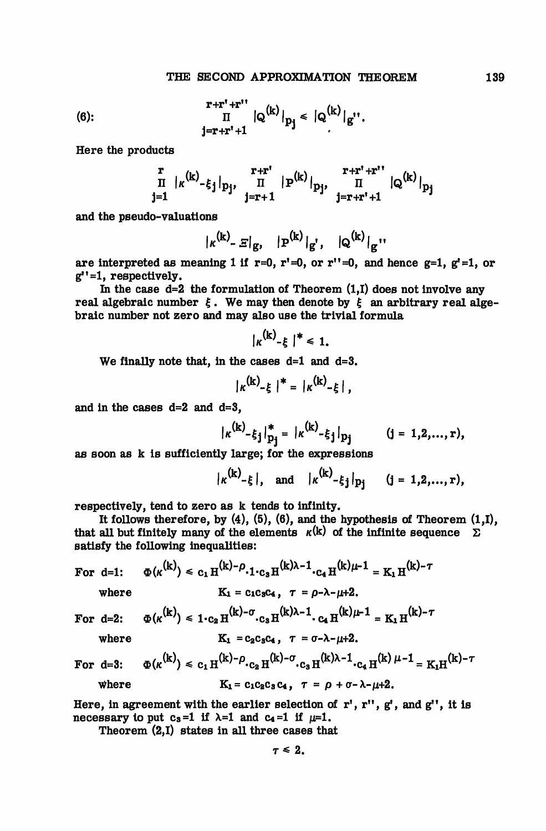(6): 
$$
\frac{r+r^r+r^{r^r}}{\Pi} |Q^{(k)}|_{p_j} \leq |Q^{(k)}|_{g^{r^r}}.
$$

Here the products

$$
\begin{array}{c}\n\overset{\mathbf{r}}{\mathbf{I}} & |_{\kappa}(k)_{-\xi_{\mathbf{j}}}|_{p_{\mathbf{j}}}, \quad \overset{\mathbf{r}+\mathbf{r}^*}{\mathbf{I}} & |_{\mathbf{P}}(k)|_{p_{\mathbf{j}}}, \quad \overset{\mathbf{r}+\mathbf{r}^*+\mathbf{r}^{**}}{\mathbf{I}} & |_{\mathbf{Q}}(k)|_{p_{\mathbf{j}}}\\
\overset{\mathbf{j}=1}{\mathbf{I}} & \end{array}
$$

and the pseudo-valuations

$$
|\kappa^{(k)} - \varXi|_{g}, \quad |P^{(k)}|_{g'}, \quad |Q^{(k)}|_{g''}
$$

are interpreted as meaning 1 if  $r=0$ ,  $r'=0$ , or  $r''=0$ , and hence  $g=1$ ,  $g'=1$ , or  $g''=1$ , respectively.

In the case  $d=2$  the formulation of Theorem  $(1,1)$  does not involve any real algebraic number  $\xi$ . We may then denote by  $\xi$  an arbitrary real algebraic number not zero and may also use the trivial formula

$$
|\kappa^{(k)}-\xi|^{*}\leq 1.
$$

 $\mathbf{A}$ 

We finally note that, in the cases  $d=1$  and  $d=3$ .

$$
|\kappa^{(k)} - \xi|^{*} = |\kappa^{(k)} - \xi|,
$$

and in the cases d=2 and d=3,

$$
|\kappa^{(k)} - \xi_j|_{p_j}^* = |\kappa^{(k)} - \xi_j|_{p_j}
$$
 (j = 1,2,...,r),

as soon as k is sufficiently large; for the expressions

$$
|\kappa^{(k)}-\xi|
$$
, and  $|\kappa^{(k)}-\xi_j|_{p_j}$  (j = 1,2,...,r),

 $\sim$   $\sim$ 

respectively, tend to zero as k tends to infinity.

It follows therefore, by  $(4)$ ,  $(5)$ ,  $(6)$ , and the hypothesis of Theorem  $(1,1)$ , that all but finitely many of the elements  $\kappa(k)$  of the infinite sequence  $\sum$ satisfy the following inequalities:

For d=1: 
$$
\Phi(\kappa^{(k)}) \leq c_1 H^{(k)-\rho} \cdot 1 \cdot c_3 H^{(k)\lambda-1} \cdot c_4 H^{(k)\mu-1} = K_1 H^{(k)-\gamma}
$$

where  $K_1 = c_1c_3c_4$ ,  $\tau = \rho - \lambda - \mu + 2$ .

For d=2: 
$$
\Phi(\kappa^{(k)}) \le 1 \cdot c_2 H^{(k)-\sigma} \cdot c_3 H^{(k)\lambda-1} \cdot c_4 H^{(k)\mu-1} = K_1 H^{(k)-\tau}
$$

where 
$$
K_1 = c_2 c_3 c_4
$$
,  $\tau = \sigma - \lambda - \mu + 2$ .

For  $d=3$ :  $K_1 = c_2 c_3 c_4, \quad \tau = \sigma - \lambda - \mu + 2.$ <br>  $\Phi(\kappa^{(k)}) \le c_1 H^{(k)} - \rho \cdot c_2 H^{(k)} - \sigma \cdot c_3 H^{(k)} - 1 \cdot c_4 H^{(k)} + 1 = K_1 H^{(k)} - \tau$ where  $K_1 = c_1c_2c_3c_4$ ,  $\tau = \rho + \sigma - \lambda - \mu + 2$ .

Here, in agreement with the earlier selection of  $\mathbf{r}'$ ,  $\mathbf{r}''$ ,  $\mathbf{g}'$ , and  $\mathbf{g}''$ , it is necessary to put c<sub>s</sub>=1 if  $\lambda$ =1 and c<sub>4</sub>=1 if  $\mu$ =1.

Theorem (2,1) states in all three cases that

$$
\tau\leq 2.
$$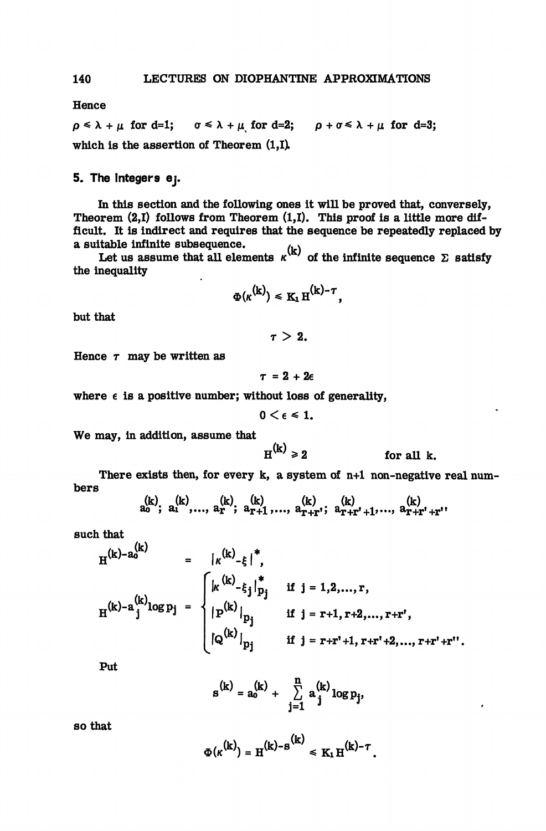Hence

 $\rho \leq \lambda + \mu$  for d=1;  $\sigma \leq \lambda + \mu$  for d=2;  $\rho + \sigma \leq \lambda + \mu$  for d=3; which is the assertion of Theorem (1,1).

## 5. The integers ej.

In this section and the following ones it will be proved that, conversely, Theorem (2,1) follows from Theorem (1,1). This proof is a little more difficult. It is indirect and requires that the sequence be repeatedly replaced by a suitable infinite subsequence.

Let us assume that all elements  $\kappa^{(k)}$  of the infinite sequence  $\Sigma$  satisfy the inequality

$$
\Phi(\kappa^{(k)}) \leq K_1 H^{(k)-\tau},
$$

but that

 $\tau > 2$ .

Hence 
$$
\tau
$$
 may be written as

$$
\tau = 2 + 2\epsilon
$$

where  $\epsilon$  is a positive number; without loss of generality,

$$
0<\epsilon\leq 1.
$$

We may, in addition, assume that

$$
H^{(k)} \geq 2 \qquad \text{for all } k.
$$

There exists then, for every k, a system of n+1 non-negative real numbers

$$
a_0^{(k)}, a_1^{(k)}, \ldots, a_r^{(k)}, a_{r+1}^{(k)}, \ldots, a_{r+r}^{(k)}, a_{r+r^*+1}^{(k)}, \ldots, a_{r+r^*+r^*}^{(k)}
$$

such that

$$
H^{(k)-a_{0}^{(k)}} = |_{\kappa}^{(k)} - \xi|^{*},
$$
  
\n
$$
H^{(k)-a_{j}^{(k)}log p_{j}} = \begin{cases} |_{\kappa}^{(k)} - \xi_{j}|_{p_{j}}^{*} & \text{if } j = 1,2,...,r, \\ |_{p}^{(k)}|_{p_{j}} & \text{if } j = r+1, r+2,...,r+r^{*}, \\ [a^{(k)}]_{p_{j}} & \text{if } j = r+r^{*}+1, r+r^{*}+2,...,r+r^{*}+r^{**}. \end{cases}
$$

Put

$$
\mathbf{s}^{(k)} = \mathbf{a}_o^{(k)} + \sum_{j=1}^n \mathbf{a}_j^{(k)} \log p_j,
$$

so that

$$
\Phi(\kappa^{(k)}) = H^{(k)-S^{(k)}} \leq K_1 H^{(k)-\tau}.
$$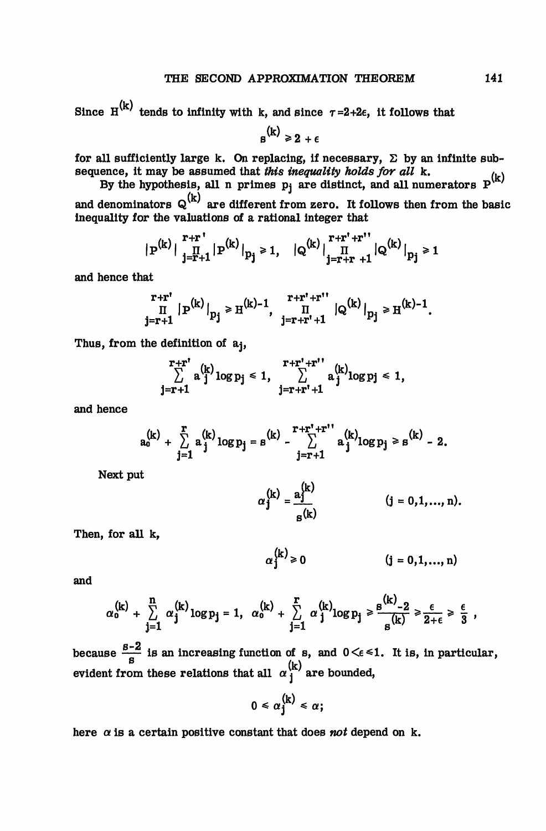Since  $H^{(k)}$  tends to infinity with k, and since  $\tau = 2+2\epsilon$ , it follows that

 $s^{(k)} \geq 2 + \epsilon$ 

for all sufficiently large k. On replacing, if necessary,  $\Sigma$  by an infinite subsequence, it may be assumed that *this inequality holds for all* k.

By the hypothesis, all n primes  $p_j$  are distinct, and all numerators  $P^{(k)}$ and denominators  $Q^{(k)}$  are different from zero. It follows then from the basic inequality for the valuations of a rational integer that

$$
|\, {\bf p}^{(k)}\, | \, \, \prod\limits_{j=r+1}^{r+r} |\, {\bf p}^{(k)}\, |_{p_j}\geq 1, \quad | \, {\bf Q}^{(k)}\, | \, \prod\limits_{j=r+r}^{r+r^*+r^{**}} |{\bf Q}^{(k)}\, |_{p_j}\geq 1
$$

and hence that

$$
\prod_{j=r+1}^{r+r'} |p^{(k)}|_{p_j} \geq H^{(k)-1}, \quad \prod_{j=r+r'+1}^{r+r'+r''} |Q^{(k)}|_{p_j} \geq H^{(k)-1}.
$$

Thus, from the definition of aj,

$$
\sum_{j=r+1}^{r+r^*}a_{j}^{(k)}\log p_j\leqslant 1,\quad \sum_{j=r+r^*+1}^{r+r^*+r^{**}}a_{j}^{(k)}\log p_j\leqslant 1,
$$

and hence

$$
a_0^{(k)} + \sum_{j=1}^r a_j^{(k)} \log p_j = s^{(k)} - \sum_{j=r+1}^{r+r^*+r^{**}} a_j^{(k)} \log p_j \geq s^{(k)} - 2.
$$

Next put

$$
\alpha_j^{(k)} = \frac{a_j^{(k)}}{s^{(k)}} \qquad (j = 0, 1, ..., n)
$$

Then, for all k,

 $\alpha_1^{(k)} \geq 0$  $(i = 0, 1, ..., n)$ 

and

$$
\alpha_0^{(k)} + \sum_{j=1}^n \alpha_j^{(k)} \log p_j = 1, \ \alpha_0^{(k)} + \sum_{j=1}^r \alpha_j^{(k)} \log p_j \ge \frac{g^{(k)} - 2}{g^{(k)}} \ge \frac{\epsilon}{2 + \epsilon} \ge \frac{\epsilon}{3} ,
$$

because  $\frac{S-2}{S}$  is an increasing function of s, and  $0 \leq \epsilon \leq 1$ . It is, in particular, evident from these relations that all  $\alpha_1^{(k)}$  are bounded,

$$
0\leq \alpha_j^{(k)}\leq \alpha;
$$

here  $\alpha$  is a certain positive constant that does *not* depend on k.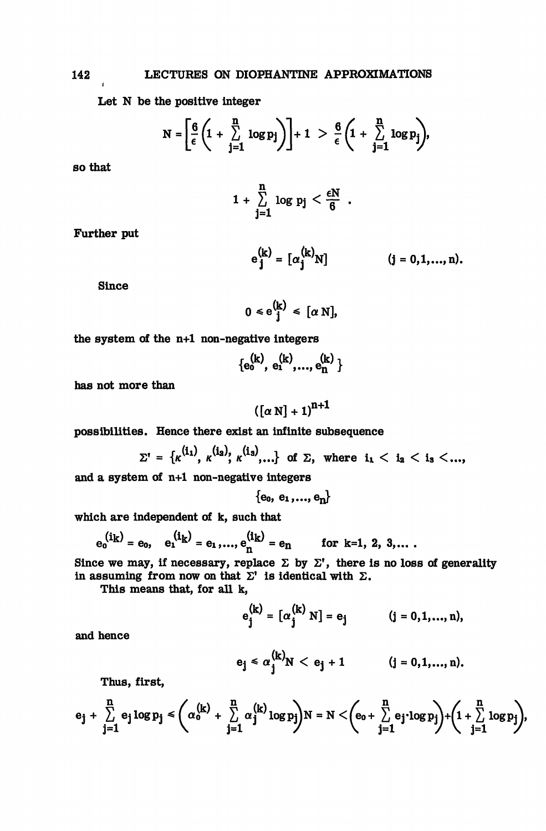Let N be the positive integer

$$
N = \left[\frac{6}{\epsilon}\left(1 + \sum_{j=1}^n \log p_j\right)\right] + 1 > \frac{6}{\epsilon}\left(1 + \sum_{j=1}^n \log p_j\right),
$$

so that

$$
1+\sum_{j=1}^n \log p_j < \frac{\epsilon N}{6} \enspace .
$$

Further put

$$
e_j^{(k)} = [\alpha_j^{(k)}N]
$$
 (j = 0,1,..., n).

Since

$$
0 \leq e^{(k)}_{j} \leq [\alpha N],
$$

the system of the n+1 non-negative integers

 $\{e_0^{(k)}, e_1^{(k)},..., e_n^{(k)}\}$ 

has not more than

$$
\left(\left[\alpha\ N\right]+1\right)^{n+1}
$$

possibilities. Hence there exist an infinite subsequence

$$
\Sigma' = \{\kappa^{(i_1)}, \kappa^{(i_2)}, \kappa^{(i_3)}, ...\} \text{ of } \Sigma, \text{ where } i_1 < i_2 < i_3 < ...
$$

and a system of n+1 non-negative integers

 $\{e_0, e_1,...,e_n\}$ 

which are independent of k, such that

$$
e_0^{(i_k)} = e_0
$$
,  $e_1^{(i_k)} = e_1$ ,...,  $e_n^{(i_k)} = e_n$  for k=1, 2, 3,...

Since we may, if necessary, replace  $\Sigma$  by  $\Sigma'$ , there is no loss of generality in assuming from now on that  $\Sigma'$  is identical with  $\Sigma$ .

This means that, for all k,

$$
e_j^{(k)} = [\alpha_j^{(k)} N] = e_j
$$
 (j = 0,1,..., n),

and hence

$$
e_j \le \alpha_j^{(k)} N < e_j + 1
$$
 \t\t\t $(j = 0, 1, ..., n).$ 

Thus, first,

$$
e_j+\sum\limits_{j=1}^n e_j\log p_j\leq \Bigg(\alpha_0^{(k)}+\sum\limits_{j=1}^n\alpha_j^{(k)}\log p_j\Bigg)N=N<\Bigg(e_0+\sum\limits_{j=1}^n e_j\cdot \log p_j\Bigg)+\Bigg(1+\sum\limits_{j=1}^n\log p_j\Bigg),
$$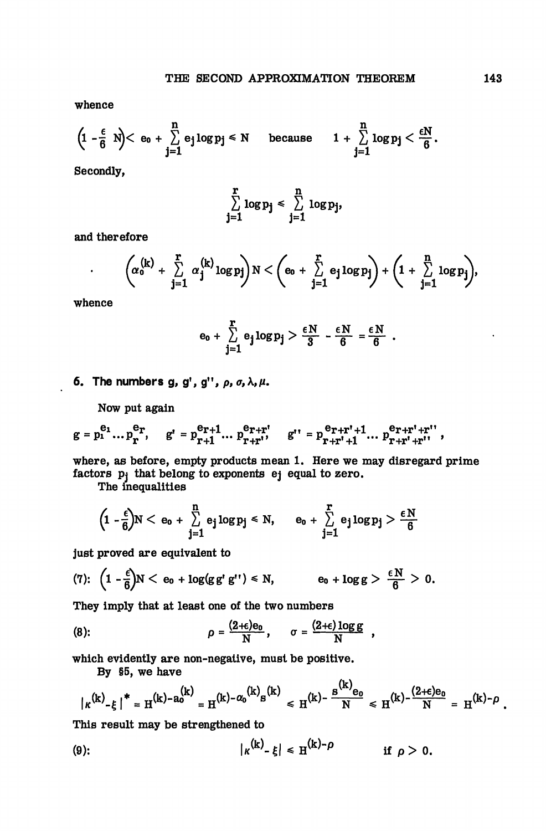whence

$$
\Big(1-\frac{\varepsilon}{6} \ N\Big)< \ e_0+\sum_{j=1}^n e_j\log p_j \leqslant N \quad \text{ because } \quad 1+\sum_{j=1}^n \log p_j < \frac{\varepsilon N}{6}.
$$

Secondly,

$$
\sum_{j=1}^r \log p_j \leq \sum_{j=1}^n \log p_j,
$$

and therefore

$$
\bigg(\!\alpha_0^{(k)}+\sum\limits_{j=1}^{r}\alpha_j^{(k)}\log p_j\!\bigg)N<\bigg(\mathbf{e}_0+\sum\limits_{j=1}^{r}\mathbf{e}_j\log p_j\!\bigg)+\bigg(1+\sum\limits_{j=1}^{n}\log p_j\!\bigg)\!,
$$

whence

.

$$
e_0 + \sum_{j=1}^r e_j \log p_j > \frac{\varepsilon N}{3} - \frac{\varepsilon N}{6} = \frac{\varepsilon N}{6}.
$$

6. The numbers g, g', g'',  $\rho$ ,  $\sigma$ ,  $\lambda$ ,  $\mu$ .

Now put again

$$
g = p_1^{e_1} \dots p_r^{e_r}, \quad g' = p_{r+1}^{e_{r+1}} \dots p_{r+r'}^{e_{r+r'}} \quad g'' = p_{r+r'+1}^{e_{r+r'+1}} \dots p_{r+r'+r''}^{e_{r+r'+r''}},
$$

where, as before, empty products mean 1. Here we may disregard prime factors  $p_i$  that belong to exponents ej equal to zero.

The inequalities

$$
\Big(1-\frac{\varepsilon}{6}\Big)N<\,e_0+\,\sum\limits_{j=1}^n\,e_j\log p_j\leqslant N,\qquad e_0+\sum\limits_{j=1}^r\,e_j\log p_j>\frac{\varepsilon\,N}{6}
$$

just proved are equivalent to

(7): 
$$
\left(1-\frac{\epsilon}{6}\right)N < e_0 + \log(g g' g'') < N
$$
,  $e_0 + \log g > \frac{\epsilon N}{6} > 0$ .

They imply that at least one of the two numbers

(8): 
$$
\rho = \frac{(2+\epsilon)e_0}{N}, \quad \sigma = \frac{(2+\epsilon)\log g}{N},
$$

which evidently are non-negative, must be positive.

By §5, we have

$$
|\kappa^{(k)} - \xi|^{*} = H^{(k) - a_0^{(k)}} = H^{(k) - \alpha_0^{(k)} s^{(k)}} \le H^{(k) - \frac{s^{(k)} e_0}{N}} \le H^{(k) - \frac{(2+\epsilon)e_0}{N}} = H^{(k) - \rho}.
$$

This result may be strengthened to

$$
|\kappa^{(k)}-\xi| \leq H^{(k)-\rho} \qquad \text{if } \rho > 0.
$$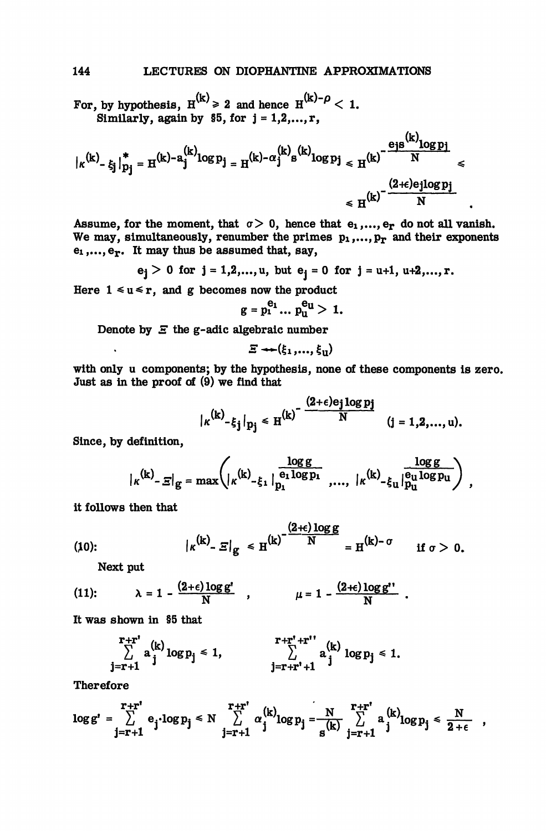For, by hypothesis,  $H^{(k)} \ge 2$  and hence  $H^{(k)-\rho} < 1$ . Similarly, again by  $$5, for j = 1, 2, ..., r$ ,

$$
\begin{aligned} \big|\kappa^{(k)}\text{-}\xi_j\big|_{p_j}^* &= \text{H}^{(k)-a_j^{(k)}\text{log}\,p_j} = \text{H}^{(k)-\alpha_j^{(k)}\text{s}^{(k)}\text{log}\,p_j} \leqslant \text{H}^{(k)}\text{-}\frac{\text{e}_{j\text{s}}^{(k)}\text{log}\,p_j}{N} \leqslant \\ &\leqslant \text{H}^{(k)}\text{-}\frac{(2+\text{e}_{j\text{log}\,p_j}}{N} \end{aligned}
$$

Assume, for the moment, that  $\sigma > 0$ , hence that  $e_1, ..., e_r$  do not all vanish. We may, simultaneously, renumber the primes  $p_1,...,p_r$  and their exponents  $e_1, \ldots, e_T$ . It may thus be assumed that, say,

$$
e_j > 0
$$
 for  $j = 1, 2, ..., u$ , but  $e_j = 0$  for  $j = u+1, u+2, ..., r$ .

Here  $1 \le u \le r$ , and g becomes now the product

$$
g = p_1^{e_1} \dots p_n^{e_n} > 1.
$$

Denote by *E* the g-adic algebraic number

$$
\Xi \leftarrow (\xi_1,...,\xi_{\mathrm{u}})
$$

with only u components; by the hypothesis, none of these components is zero. Just as in the proof of (9) we find that

$$
|\kappa^{(k)}-\xi_j|_{p_j} \leq H^{(k)} \frac{(2+\epsilon)e_j \log p_j}{N} \qquad (j=1,2,\ldots,u).
$$

Since, by definition,

$$
|\kappa^{(k)}\text{-}\varepsilon|_g = \max\left(|\kappa^{(k)}\text{-}\xi_1|\frac{\frac{\log g}{e_1\log p_1}}{p_1},\dots,|\kappa^{(k)}\text{-}\xi_u|\frac{\log g}{p_u\log p_u}\right)\;,
$$

it follows then that

(10): 
$$
\left| \kappa^{(k)} - \Xi \right|_{g} \leq H^{(k)} - \frac{(2+\epsilon) \log g}{N} = H^{(k)-\sigma} \quad \text{if } \sigma > 0.
$$

Next put

(11): 
$$
\lambda = 1 - \frac{(2+\epsilon)\log g'}{N}
$$
,  $\mu = 1 - \frac{(2+\epsilon)\log g''}{N}$ 

It was shown in §5 that

$$
\sum_{j=r+1}^{r+r'} a_{j}^{(k)} \log p_{j} \le 1, \qquad \sum_{j=r+r'+1}^{r+r'+r''} a_{j}^{(k)} \log p_{j} \le 1.
$$

Therefore

$$
\log g' = \sum_{j=r+1}^{r+r'} e_j \cdot \log p_j \leq N \sum_{j=r+1}^{r+r'} \alpha_j^{(k)} \log p_j = \frac{N}{s^{(k)}} \sum_{j=r+1}^{r+r'} a_j^{(k)} \log p_j \leq \frac{N}{2+\epsilon} ,
$$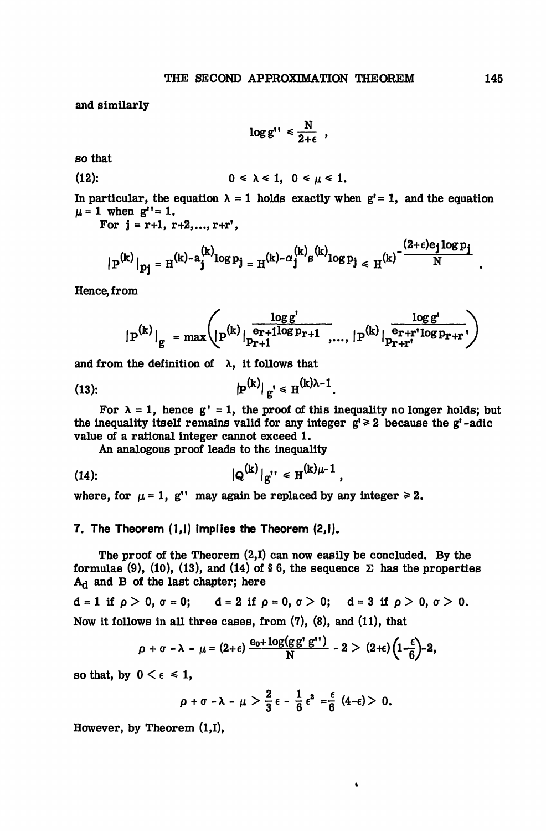and similarly

$$
\log g'' \leq \frac{N}{2+\epsilon} ,
$$

so that

$$
(12): \t\t 0 \leq \lambda \leq 1, \t 0 \leq \mu \leq 1.
$$

In particular, the equation  $\lambda = 1$  holds exactly when  $g' = 1$ , and the equation  $\mu = 1$  when  $g'' = 1$ .

For  $j = r+1, r+2,...,r+r$ ',

$$
{\big\vert\!\! \ p^{(k)} \big\vert}_{pj} = {\rm H}^{(k)}\text{-}a_j^{(k)}log\,p_j = {\rm H}^{(k)}\text{-}\alpha_j^{(k)}s^{(k)}log\,p_j \leqslant {\rm H}^{(k)}\text{-}\frac{(2+\varepsilon)e_j\log p_j}{N}
$$

Hence, from

$$
{\mid \mathbf{P}^{(k)} \mid}_g = \max \!\left(\!\!{\left. \mathbf{P}^{(k)} \right|} \!\!{\frac{\log g'}{\Pr + 1}} \!\!{\frac{\log g'}{\Pr + 1}} \!\!\!\!\!\! \ldots, \, {\mid \mathbf{P}^{(k)} \mid} \!\!{\frac{\log g'}{\Pr + r'} \!\! \log p_{r+r}} \!\!\!\!\!\!\!\!\! \right)
$$

and from the definition of  $\lambda$ , it follows that

(13): 
$$
|P^{(k)}|_{g'} \le H^{(k)\lambda - 1}
$$
.

For  $\lambda = 1$ , hence g' = 1, the proof of this inequality no longer holds; but the inequality itself remains valid for any integer  $g' \geq 2$  because the g'-adic value of a rational integer cannot exceed 1.

An analogous proof leads to the inequality

(14): 
$$
|Q^{(k)}|_{g''} \leq H^{(k)\mu-1}
$$
,

where, for  $\mu = 1$ , g'' may again be replaced by any integer  $\ge 2$ .

### 7. The Theorem (1,1) implies the Theorem (2,1).

The proof of the Theorem (2,1) can now easily be concluded. By the formulae (9), (10), (13), and (14) of § 6, the sequence  $\Sigma$  has the properties  $A_d$  and B of the last chapter; here

$$
d = 1 \text{ if } \rho > 0, \sigma = 0; \qquad d = 2 \text{ if } \rho = 0, \sigma > 0; \qquad d = 3 \text{ if } \rho > 0, \sigma > 0.
$$

Now it follows in all three cases, from (7), (8), and (11), that

$$
\rho + \sigma - \lambda - \mu = (2+\epsilon) \frac{e_0 + \log(g g^r g^{r\tau})}{N} - 2 > (2+\epsilon) \left(1-\frac{\epsilon}{6}\right) - 2,
$$

so that, by  $0 \leq \epsilon \leq 1$ ,

$$
\rho+\sigma-\lambda-\mu>\frac{2}{3}\epsilon-\frac{1}{6}\epsilon^2=\frac{\epsilon}{6} (4-\epsilon)>0.
$$

 $\ddot{\phantom{0}}$ 

However, by Theorem (1,1),

 *m*